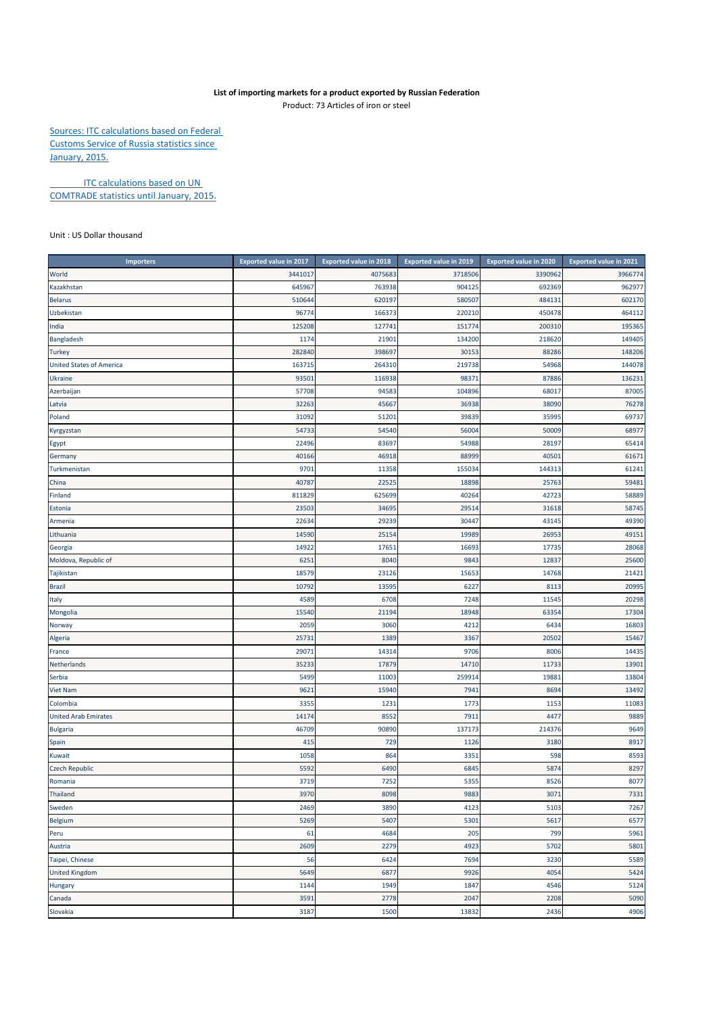## **List of importing markets for a product exported by Russian Federation**

Product: 73 Articles of iron or steel

Sources: ITC calculations based on Federal Customs Service of Russia statistics since January, 2015.

**ITC calculations based on UN** COMTRADE statistics until January, 2015.

Unit : US Dollar thousand

| <b>Importers</b>                | <b>Exported value in 2017</b> | <b>Exported value in 2018</b> | Exported value in 2019 | Exported value in 2020 | Exported value in 2021 |
|---------------------------------|-------------------------------|-------------------------------|------------------------|------------------------|------------------------|
| World                           | 3441017                       | 4075683                       | 3718506                | 3390962                | 3966774                |
| Kazakhstan                      | 645967                        | 763938                        | 904125                 | 692369                 | 962977                 |
| <b>Belarus</b>                  | 510644                        | 620197                        | 580507                 | 484131                 | 602170                 |
| Uzbekistan                      | 96774                         | 166373                        | 220210                 | 450478                 | 464112                 |
| India                           | 125208                        | 127741                        | 151774                 | 200310                 | 195365                 |
| Bangladesh                      | 1174                          | 21901                         | 134200                 | 218620                 | 149405                 |
| <b>Turkey</b>                   | 282840                        | 398697                        | 30153                  | 88286                  | 148206                 |
| <b>United States of America</b> | 163715                        | 264310                        | 219738                 | 54968                  | 144078                 |
| Ukraine                         | 93501                         | 116938                        | 98371                  | 87886                  | 136231                 |
| Azerbaijan                      | 57708                         | 94583                         | 104896                 | 68017                  | 87005                  |
| Latvia                          | 32263                         | 45667                         | 36938                  | 38090                  | 76278                  |
| Poland                          | 31092                         | 51201                         | 39839                  | 35995                  | 69737                  |
| Kyrgyzstan                      | 54733                         | 54540                         | 56004                  | 50009                  | 68977                  |
| Egypt                           | 22496                         | 83697                         | 54988                  | 28197                  | 65414                  |
| Germany                         | 40166                         | 46918                         | 88999                  | 40501                  | 61671                  |
| Turkmenistan                    | 9701                          | 11358                         | 155034                 | 144313                 | 61241                  |
| China                           | 40787                         | 22525                         | 18898                  | 25763                  | 59481                  |
| Finland                         | 811829                        | 625699                        | 40264                  | 42723                  | 58889                  |
| Estonia                         | 23503                         | 34695                         | 29514                  | 31618                  | 58745                  |
| Armenia                         | 22634                         | 29239                         | 30447                  | 43145                  | 49390                  |
| Lithuania                       | 14590                         | 25154                         | 19989                  | 26953                  | 49151                  |
| Georgia                         | 14922                         | 17651                         | 16693                  | 17735                  | 28068                  |
| Moldova, Republic of            | 6251                          | 8040                          | 9843                   | 12837                  | 25600                  |
| Tajikistan                      | 18579                         | 23126                         | 15653                  | 14768                  | 21421                  |
| Brazil                          | 10792                         | 13595                         | 6227                   | 8113                   | 20995                  |
| Italy                           | 4589                          | 6708                          | 7248                   | 11545                  | 20298                  |
| Mongolia                        | 15540                         | 21194                         | 18948                  | 63354                  | 17304                  |
| Norway                          | 2059                          | 3060                          | 4212                   | 6434                   | 16803                  |
| Algeria                         | 25731                         | 1389                          | 3367                   | 20502                  | 15467                  |
| France                          | 29071                         | 14314                         | 9706                   | 8006                   | 14435                  |
| Netherlands                     | 3523                          | 17879                         | 14710                  | 11733                  | 13901                  |
| Serbia                          | 5499                          | 11003                         | 259914                 | 19881                  | 13804                  |
| Viet Nam                        | 9621                          | 15940                         | 7941                   | 8694                   | 13492                  |
| Colombia                        | 3355                          | 1231                          | 1773                   | 1153                   | 11083                  |
| <b>United Arab Emirates</b>     | 14174                         | 8552                          | 7911                   | 4477                   | 9889                   |
| <b>Bulgaria</b>                 | 46709                         | 90890                         | 137173                 | 214376                 | 9649                   |
| Spain                           | 415                           | 729                           | 1126                   | 3180                   | 8917                   |
| Kuwait                          | 1058                          | 864                           | 3351                   | 598                    | 8593                   |
| <b>Czech Republic</b>           | 5592                          | 6490                          | 6845                   | 5874                   | 8297                   |
| Romania                         | 3719                          | 7252                          | 5355                   | 8526                   | 8077                   |
| <b>Thailand</b>                 | 3970                          | 8098                          | 9883                   | 3071                   | 7331                   |
| Sweden                          | 2469                          | 3890                          | 4123                   | 5103                   | 7267                   |
| Belgium                         | 5269                          | 5407                          | 5301                   | 5617                   | 6577                   |
| Peru                            | 61                            | 4684                          | 205                    | 799                    | 5961                   |
| Austria                         | 2609                          | 2279                          | 4923                   | 5702                   | 5801                   |
| Taipei, Chinese                 | 56                            | 6424                          | 7694                   | 3230                   | 5589                   |
| <b>United Kingdom</b>           | 5649                          | 6877                          | 9926                   | 4054                   | 5424                   |
| Hungary                         | 1144                          | 1949                          | 1847                   | 4546                   | 5124                   |
| Canada                          | 3591                          | 2778                          | 2047                   | 2208                   | 5090                   |
| Slovakia                        | 3187                          | 1500                          | 13832                  | 2436                   | 4906                   |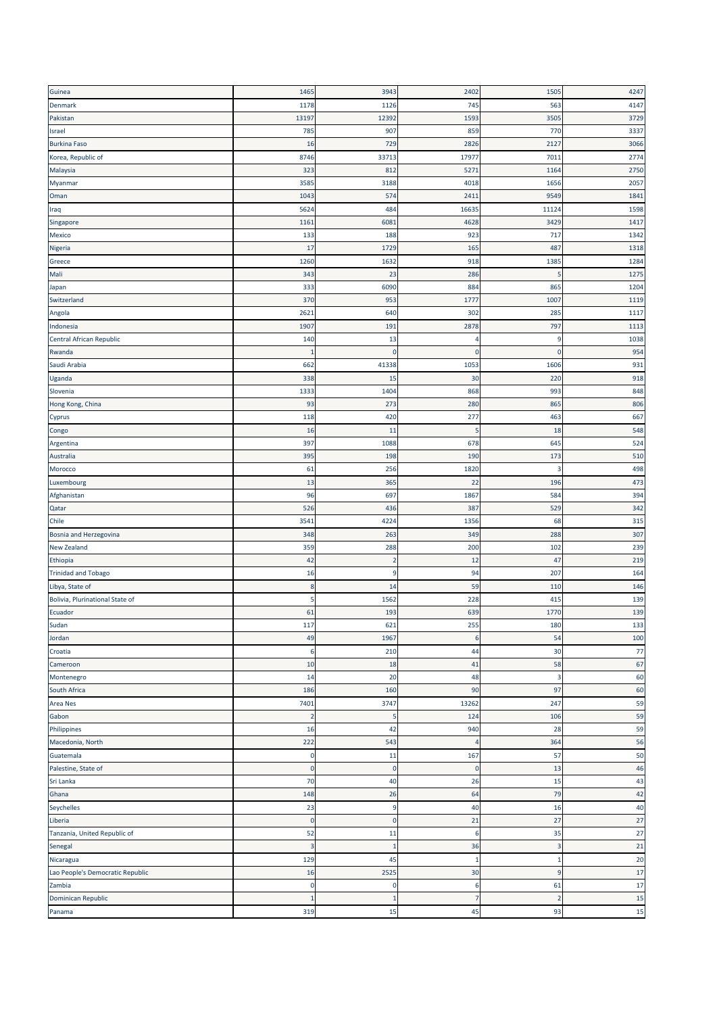| Guinea                           | 1465           | 3943         | 2402           | 1505           | 4247 |
|----------------------------------|----------------|--------------|----------------|----------------|------|
| <b>Denmark</b>                   | 1178           | 1126         | 745            | 563            | 4147 |
| Pakistan                         | 13197          | 12392        | 1593           | 3505           | 3729 |
| Israel                           | 785            | 907          | 859            | 770            | 3337 |
| <b>Burkina Faso</b>              | 16             | 729          | 2826           | 2127           | 3066 |
| Korea, Republic of               | 8746           | 33713        | 17977          | 7011           | 2774 |
| Malaysia                         | 323            | 812          | 5271           | 1164           | 2750 |
| Myanmar                          | 3585           | 3188         | 4018           | 1656           | 2057 |
| Oman                             | 1043           | 574          | 2411           | 9549           | 1841 |
| Iraq                             | 5624           | 484          | 16635          | 11124          | 1598 |
| Singapore                        | 1161           | 6081         | 4628           | 3429           | 1417 |
| Mexico                           | 133            | 188          | 923            | 717            | 1342 |
| Nigeria                          | 17             | 1729         | 165            | 487            | 1318 |
| Greece                           | 1260           | 1632         | 918            | 1385           | 1284 |
| Mali                             | 343            | 23           | 286            |                | 1275 |
| Japan                            | 333            | 6090         | 884            | 865            | 1204 |
| Switzerland                      | 370            | 953          | 1777           | 1007           | 1119 |
| Angola                           | 2621           | 640          | 302            | 285            | 1117 |
| Indonesia                        | 1907           | 191          | 2878           | 797            | 1113 |
| Central African Republic         | 140            | 13           | 4              | 9              | 1038 |
| Rwanda                           | $\mathbf{1}$   | $\mathbf 0$  | $\mathbf 0$    | $\mathbf{0}$   | 954  |
| Saudi Arabia                     | 662            | 41338        | 1053           | 1606           | 931  |
| Uganda                           | 338            | 15           | 30             | 220            | 918  |
| Slovenia                         | 1333           | 1404         | 868            | 993            | 848  |
| Hong Kong, China                 | 93             | 273          | 280            | 865            | 806  |
| Cyprus                           | 118            | 420          | 277            | 463            | 667  |
| Congo                            | 16             | 11           | 5              | 18             | 548  |
| Argentina                        | 397            | 1088         | 678            | 645            | 524  |
| Australia                        | 395            | 198          | 190            | 173            | 510  |
| Morocco                          | 61             | 256          | 1820           | 3              | 498  |
| Luxembourg                       | 13             | 365          | 22             | 196            | 473  |
| Afghanistan                      | 96             | 697          | 1867           | 584            | 394  |
| Qatar                            | 526            | 436          | 387            | 529            | 342  |
| Chile                            | 3541           | 4224         | 1356           | 68             | 315  |
| Bosnia and Herzegovina           | 348            | 263          | 349            | 288            | 307  |
| <b>New Zealand</b>               | 359            | 288          | 200            | 102            | 239  |
| Ethiopia                         | 42             | -2           | 12             | 47             | 219  |
| <b>Trinidad and Tobago</b>       | 16             | 9            | 94             | 207            | 164  |
| Libya, State of                  | 8              | 14           | 59             | 110            | 146  |
| Bolivia, Plurinational State of  | 5              | 1562         | 228            | 415            | 139  |
| Ecuador                          | 61             | 193          | 639            | 1770           | 139  |
| Sudan                            | 117            | 621          | 255            | 180            | 133  |
| Jordan                           | 49             | 1967         | 6              | 54             | 100  |
| Croatia                          | 6              | 210          | 44             | 30             | 77   |
| Cameroon                         | 10             | 18           | 41             | 58             | 67   |
| Montenegro                       | 14             | 20           | 48             | $\overline{3}$ | 60   |
| South Africa                     | 186            | 160          | 90             | 97             | 60   |
| Area Nes                         | 7401           | 3747         | 13262          | 247            | 59   |
| Gabon                            | $\overline{2}$ | 5            | 124            | 106            | 59   |
| Philippines                      | 16             | 42           | 940            | 28             | 59   |
| Macedonia, North                 | 222            | 543          | $\overline{4}$ | 364            | 56   |
| Guatemala                        | $\bf{0}$       | 11           | 167            | 57             | 50   |
| Palestine, State of              | $\mathbf 0$    | $\mathbf 0$  | $\mathbf 0$    | 13             | 46   |
| Sri Lanka                        | 70             | 40           | 26             | 15             | 43   |
| Ghana                            | 148            | 26           | 64             | 79             | 42   |
| Seychelles                       | 23             | 9            | 40             | 16             | 40   |
| Liberia                          | $\pmb{0}$      | $\mathbf 0$  | 21             | 27             | 27   |
| Tanzania, United Republic of     | 52             | 11           | 6              | 35             | 27   |
| Senegal                          | $\mathsf 3$    | $\mathbf{1}$ | 36             | 3              | 21   |
| Nicaragua                        | 129            | 45           | $\mathbf{1}$   | $\mathbf{1}$   | 20   |
| Lao People's Democratic Republic | 16             | 2525         | 30             | $\overline{9}$ | 17   |
| Zambia                           | 0              | 0            | 6              | 61             | 17   |
| Dominican Republic               | $\mathbf{1}$   | -1           | $\overline{7}$ | $\overline{2}$ | 15   |
| Panama                           | 319            | 15           | 45             | 93             | 15   |